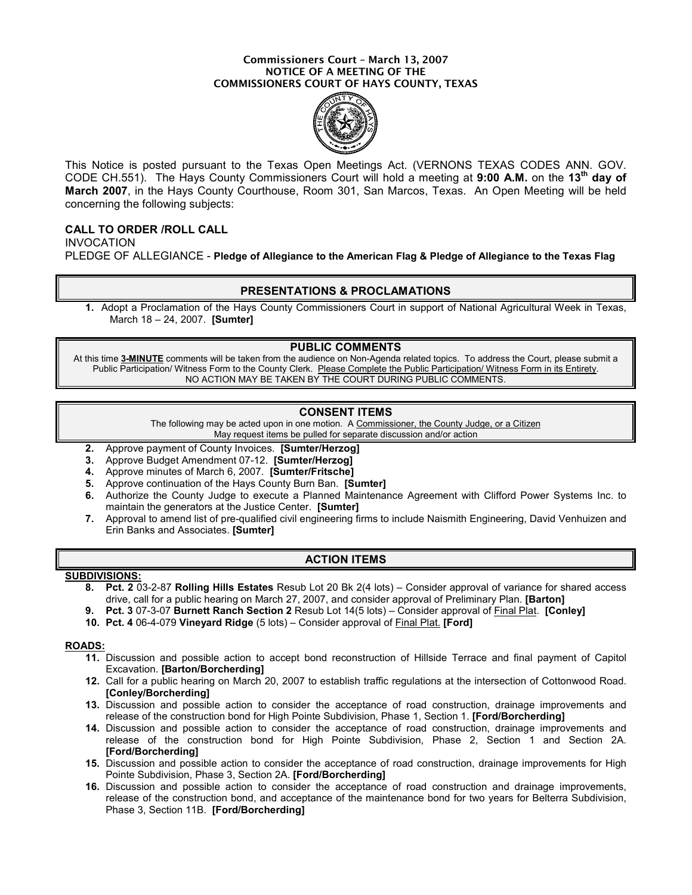#### Commissioners Court – March 13, 2007 NOTICE OF A MEETING OF THE COMMISSIONERS COURT OF HAYS COUNTY, TEXAS



This Notice is posted pursuant to the Texas Open Meetings Act. (VERNONS TEXAS CODES ANN. GOV. CODE CH.551). The Hays County Commissioners Court will hold a meeting at 9:00 A.M. on the 13<sup>th</sup> day of March 2007, in the Hays County Courthouse, Room 301, San Marcos, Texas. An Open Meeting will be held concerning the following subjects:

# CALL TO ORDER /ROLL CALL

INVOCATION PLEDGE OF ALLEGIANCE - Pledge of Allegiance to the American Flag & Pledge of Allegiance to the Texas Flag

## PRESENTATIONS & PROCLAMATIONS

1. Adopt a Proclamation of the Hays County Commissioners Court in support of National Agricultural Week in Texas, March 18 – 24, 2007. [Sumter]

## PUBLIC COMMENTS

At this time 3-MINUTE comments will be taken from the audience on Non-Agenda related topics. To address the Court, please submit a Public Participation/ Witness Form to the County Clerk. Please Complete the Public Participation/ Witness Form in its Entirety. NO ACTION MAY BE TAKEN BY THE COURT DURING PUBLIC COMMENTS.

## CONSENT ITEMS

The following may be acted upon in one motion. A Commissioner, the County Judge, or a Citizen May request items be pulled for separate discussion and/or action

- 2. Approve payment of County Invoices. [Sumter/Herzog]
- 3. Approve Budget Amendment 07-12. [Sumter/Herzog]
- 4. Approve minutes of March 6, 2007. [Sumter/Fritsche]
- 5. Approve continuation of the Hays County Burn Ban. [Sumter]
- 6. Authorize the County Judge to execute a Planned Maintenance Agreement with Clifford Power Systems Inc. to maintain the generators at the Justice Center. [Sumter]
- 7. Approval to amend list of pre-qualified civil engineering firms to include Naismith Engineering, David Venhuizen and Erin Banks and Associates. [Sumter]

## ACTION ITEMS

#### SUBDIVISIONS:

- 8. Pct. 2 03-2-87 Rolling Hills Estates Resub Lot 20 Bk 2(4 lots) Consider approval of variance for shared access drive, call for a public hearing on March 27, 2007, and consider approval of Preliminary Plan. [Barton]
- 9. Pct. 3 07-3-07 Burnett Ranch Section 2 Resub Lot 14(5 lots) Consider approval of Final Plat. [Conley]
- 10. Pct. 4 06-4-079 Vineyard Ridge (5 lots) Consider approval of Final Plat. [Ford]

#### ROADS:

- 11. Discussion and possible action to accept bond reconstruction of Hillside Terrace and final payment of Capitol Excavation. [Barton/Borcherding]
- 12. Call for a public hearing on March 20, 2007 to establish traffic regulations at the intersection of Cottonwood Road. [Conley/Borcherding]
- 13. Discussion and possible action to consider the acceptance of road construction, drainage improvements and release of the construction bond for High Pointe Subdivision, Phase 1, Section 1. [Ford/Borcherding]
- 14. Discussion and possible action to consider the acceptance of road construction, drainage improvements and release of the construction bond for High Pointe Subdivision, Phase 2, Section 1 and Section 2A. [Ford/Borcherding]
- 15. Discussion and possible action to consider the acceptance of road construction, drainage improvements for High Pointe Subdivision, Phase 3, Section 2A. [Ford/Borcherding]
- 16. Discussion and possible action to consider the acceptance of road construction and drainage improvements, release of the construction bond, and acceptance of the maintenance bond for two years for Belterra Subdivision, Phase 3, Section 11B. [Ford/Borcherding]